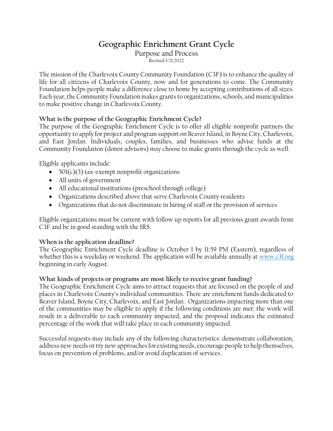# **Geographic Enrichment Grant Cycle**

Purpose and Process Revised 1/21/2022

The mission of the Charlevoix County Community Foundation (C3F) is to enhance the quality of life for all citizens of Charlevoix County, now and for generations to come. The Community Foundation helps people make a difference close to home by accepting contributions of all sizes. Each year, the Community Foundation makes grants to organizations, schools, and municipalities to make positive change in Charlevoix County.

#### **What is the purpose of the Geographic Enrichment Cycle?**

The purpose of the Geographic Enrichment Cycle is to offer all eligible nonprofit partners the opportunity to apply for project and program support on Beaver Island, in Boyne City, Charlevoix, and East Jordan. Individuals, couples, families, and businesses who advise funds at the Community Foundation (donor advisors) may choose to make grants through the cycle as well.

Eligible applicants include:

- $501(c)(3)$  tax-exempt nonprofit organizations
- All units of government
- All educational institutions (preschool through college)
- Organizations described above that serve Charlevoix County residents
- Organizations that do not discriminate in hiring of staff or the provision of services

Eligible organizations must be current with follow up reports for all previous grant awards from C3F and be in good standing with the IRS.

## **When is the application deadline?**

The Geographic Enrichment Cycle deadline is October 1 by 11:59 PM (Eastern), regardless of whether this is a weekday or weekend. The application will be available annually a[t www.c3f.org](http://www.c3f.org/) beginning in early August.

#### **What kinds of projects or programs are most likely to receive grant funding?**

The Geographic Enrichment Cycle aims to attract requests that are focused on the people of and places in Charlevoix County's individual communities. There are enrichment funds dedicated to Beaver Island, Boyne City, Charlevoix, and East Jordan. Organizations impacting more than one of the communities may be eligible to apply if the following conditions are met: the work will result in a deliverable to each community impacted, and the proposal indicates the estimated percentage of the work that will take place in each community impacted.

Successful requests may include any of the following characteristics: demonstrate collaboration, address new needs or try new approaches for existing needs, encourage people to help themselves, focus on prevention of problems, and/or avoid duplication of services.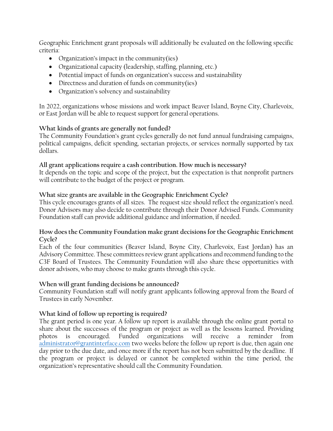Geographic Enrichment grant proposals will additionally be evaluated on the following specific criteria:

- Organization's impact in the community(ies)
- Organizational capacity (leadership, staffing, planning, etc.)
- Potential impact of funds on organization's success and sustainability
- Directness and duration of funds on community(ies)
- Organization's solvency and sustainability

In 2022, organizations whose missions and work impact Beaver Island, Boyne City, Charlevoix, or East Jordan will be able to request support for general operations.

## **What kinds of grants are generally not funded?**

The Community Foundation's grant cycles generally do not fund annual fundraising campaigns, political campaigns, deficit spending, sectarian projects, or services normally supported by tax dollars.

#### **All grant applications require a cash contribution. How much is necessary?**

It depends on the topic and scope of the project, but the expectation is that nonprofit partners will contribute to the budget of the project or program.

## **What size grants are available in the Geographic Enrichment Cycle?**

This cycle encourages grants of all sizes. The request size should reflect the organization's need. Donor Advisors may also decide to contribute through their Donor Advised Funds. Community Foundation staff can provide additional guidance and information, if needed.

#### **How does the Community Foundation make grant decisions for the Geographic Enrichment Cycle?**

Each of the four communities (Beaver Island, Boyne City, Charlevoix, East Jordan) has an Advisory Committee. These committees review grant applications and recommend funding to the C3F Board of Trustees. The Community Foundation will also share these opportunities with donor advisors, who may choose to make grants through this cycle.

## **When will grant funding decisions be announced?**

Community Foundation staff will notify grant applicants following approval from the Board of Trustees in early November.

## **What kind of follow up reporting is required?**

The grant period is one year. A follow up report is available through the online grant portal to share about the successes of the program or project as well as the lessons learned. Providing photos is encouraged. Funded organizations will receive a reminder from [administrator@grantinterface.com](mailto:administrator@grantinterface.com) two weeks before the follow up report is due, then again one day prior to the due date, and once more if the report has not been submitted by the deadline. If the program or project is delayed or cannot be completed within the time period, the organization's representative should call the Community Foundation.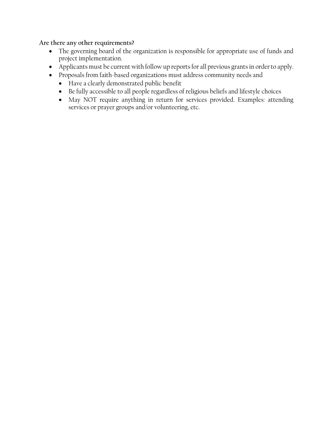**Are there any other requirements?**

- The governing board of the organization is responsible for appropriate use of funds and project implementation.
- Applicants must be current with follow up reports for all previous grants in order to apply.
- Proposals from faith-based organizations must address community needs and
	- Have a clearly demonstrated public benefit
	- Be fully accessible to all people regardless of religious beliefs and lifestyle choices
	- May NOT require anything in return for services provided. Examples: attending services or prayer groups and/or volunteering, etc.